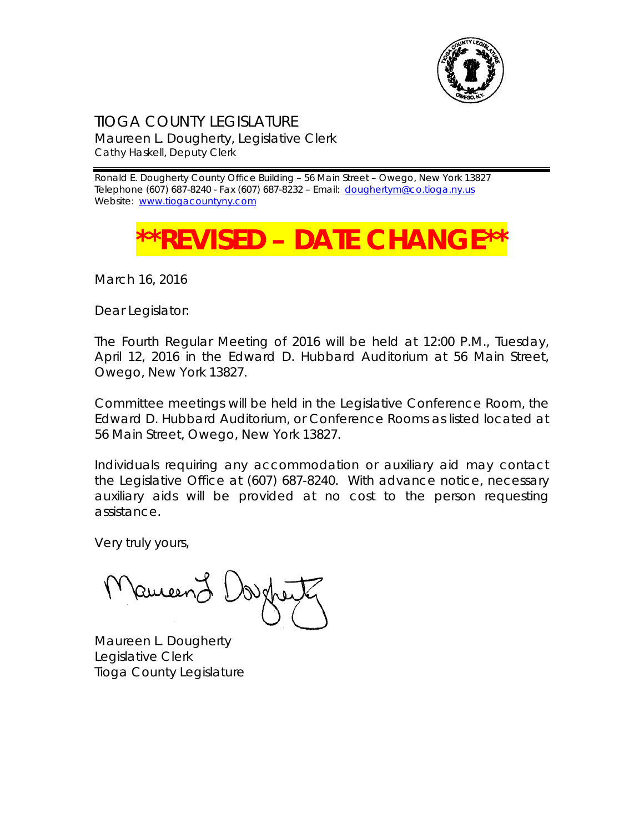

TIOGA COUNTY LEGISLATURE Maureen L. Dougherty, Legislative Clerk Cathy Haskell, Deputy Clerk

Ronald E. Dougherty County Office Building – 56 Main Street – Owego, New York 13827 Telephone (607) 687-8240 - Fax (607) 687-8232 - Email: [doughertym@co.tioga.ny.us](mailto:doughertym@co.tioga.ny.us) Website: [www.tiogacountyny.com](http://www.tiogacountyny.com/)

## **REVISED – DATE CHANG**

March 16, 2016

Dear Legislator:

The Fourth Regular Meeting of 2016 will be held at 12:00 P.M., Tuesday, April 12, 2016 in the Edward D. Hubbard Auditorium at 56 Main Street, Owego, New York 13827.

Committee meetings will be held in the Legislative Conference Room, the Edward D. Hubbard Auditorium, or Conference Rooms as listed located at 56 Main Street, Owego, New York 13827.

Individuals requiring any accommodation or auxiliary aid may contact the Legislative Office at (607) 687-8240. With advance notice, necessary auxiliary aids will be provided at no cost to the person requesting assistance.

Very truly yours,

Ruceer

Maureen L. Dougherty Legislative Clerk Tioga County Legislature